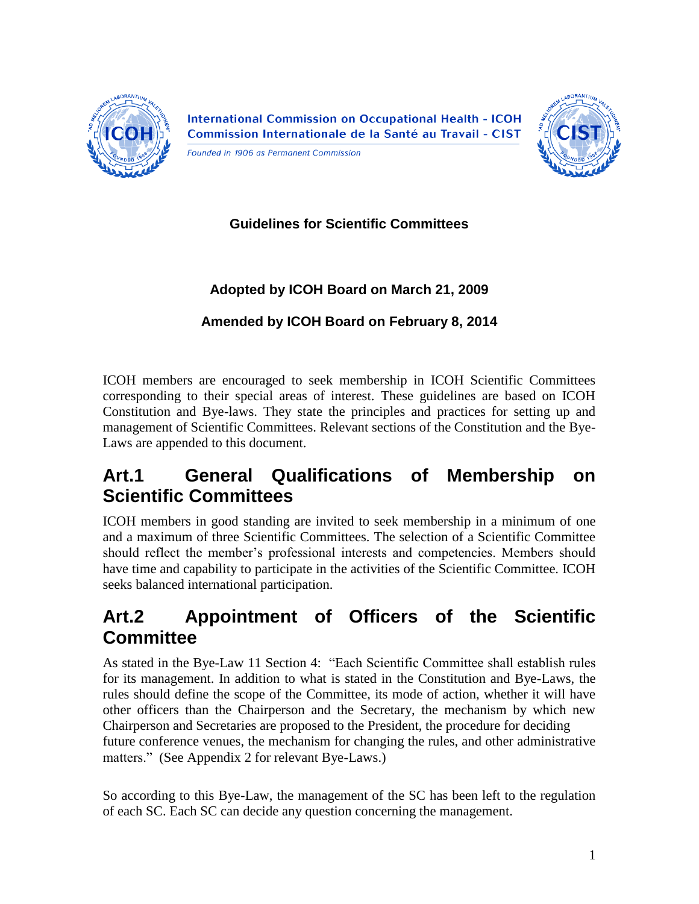

**International Commission on Occupational Health - ICOH** Commission Internationale de la Santé au Travail - CIST

Founded in 1906 as Permanent Commission



**Guidelines for Scientific Committees**

### **Adopted by ICOH Board on March 21, 2009**

### **Amended by ICOH Board on February 8, 2014**

ICOH members are encouraged to seek membership in ICOH Scientific Committees corresponding to their special areas of interest. These guidelines are based on ICOH Constitution and Bye-laws. They state the principles and practices for setting up and management of Scientific Committees. Relevant sections of the Constitution and the Bye-Laws are appended to this document.

## **Art.1 General Qualifications of Membership on Scientific Committees**

ICOH members in good standing are invited to seek membership in a minimum of one and a maximum of three Scientific Committees. The selection of a Scientific Committee should reflect the member"s professional interests and competencies. Members should have time and capability to participate in the activities of the Scientific Committee. ICOH seeks balanced international participation.

## **Art.2 Appointment of Officers of the Scientific Committee**

As stated in the Bye-Law 11 Section 4: "Each Scientific Committee shall establish rules for its management. In addition to what is stated in the Constitution and Bye-Laws, the rules should define the scope of the Committee, its mode of action, whether it will have other officers than the Chairperson and the Secretary, the mechanism by which new Chairperson and Secretaries are proposed to the President, the procedure for deciding future conference venues, the mechanism for changing the rules, and other administrative matters." (See Appendix 2 for relevant Bye-Laws.)

So according to this Bye-Law, the management of the SC has been left to the regulation of each SC. Each SC can decide any question concerning the management.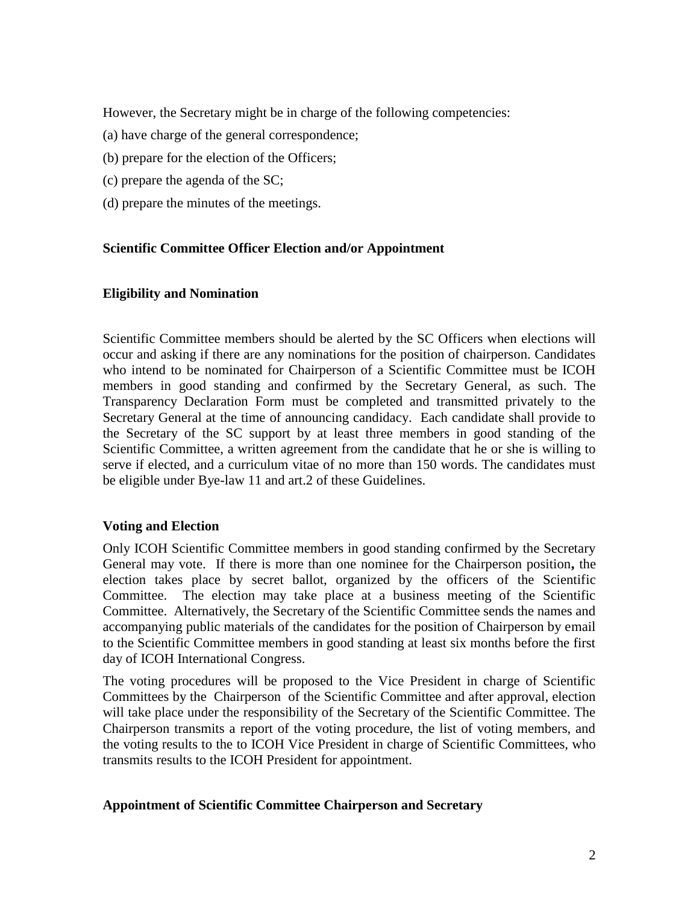However, the Secretary might be in charge of the following competencies:

- (a) have charge of the general correspondence;
- (b) prepare for the election of the Officers;
- (c) prepare the agenda of the SC;
- (d) prepare the minutes of the meetings.

### **Scientific Committee Officer Election and/or Appointment**

### **Eligibility and Nomination**

Scientific Committee members should be alerted by the SC Officers when elections will occur and asking if there are any nominations for the position of chairperson. Candidates who intend to be nominated for Chairperson of a Scientific Committee must be ICOH members in good standing and confirmed by the Secretary General, as such. The Transparency Declaration Form must be completed and transmitted privately to the Secretary General at the time of announcing candidacy. Each candidate shall provide to the Secretary of the SC support by at least three members in good standing of the Scientific Committee, a written agreement from the candidate that he or she is willing to serve if elected, and a curriculum vitae of no more than 150 words. The candidates must be eligible under Bye-law 11 and art.2 of these Guidelines.

### **Voting and Election**

Only ICOH Scientific Committee members in good standing confirmed by the Secretary General may vote. If there is more than one nominee for the Chairperson position**,** the election takes place by secret ballot, organized by the officers of the Scientific Committee. The election may take place at a business meeting of the Scientific Committee. Alternatively, the Secretary of the Scientific Committee sends the names and accompanying public materials of the candidates for the position of Chairperson by email to the Scientific Committee members in good standing at least six months before the first day of ICOH International Congress.

The voting procedures will be proposed to the Vice President in charge of Scientific Committees by the Chairperson of the Scientific Committee and after approval, election will take place under the responsibility of the Secretary of the Scientific Committee. The Chairperson transmits a report of the voting procedure, the list of voting members, and the voting results to the to ICOH Vice President in charge of Scientific Committees, who transmits results to the ICOH President for appointment.

### **Appointment of Scientific Committee Chairperson and Secretary**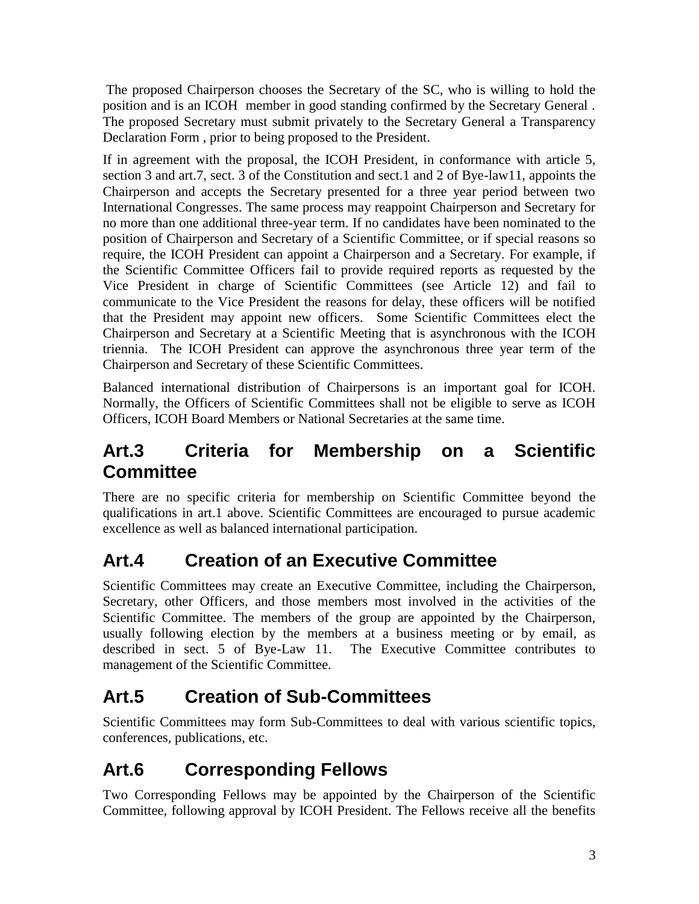The proposed Chairperson chooses the Secretary of the SC, who is willing to hold the position and is an ICOH member in good standing confirmed by the Secretary General . The proposed Secretary must submit privately to the Secretary General a Transparency Declaration Form , prior to being proposed to the President.

If in agreement with the proposal, the ICOH President, in conformance with article 5, section 3 and art.7, sect. 3 of the Constitution and sect.1 and 2 of Bye-law11, appoints the Chairperson and accepts the Secretary presented for a three year period between two International Congresses. The same process may reappoint Chairperson and Secretary for no more than one additional three-year term. If no candidates have been nominated to the position of Chairperson and Secretary of a Scientific Committee, or if special reasons so require, the ICOH President can appoint a Chairperson and a Secretary. For example, if the Scientific Committee Officers fail to provide required reports as requested by the Vice President in charge of Scientific Committees (see Article 12) and fail to communicate to the Vice President the reasons for delay, these officers will be notified that the President may appoint new officers. Some Scientific Committees elect the Chairperson and Secretary at a Scientific Meeting that is asynchronous with the ICOH triennia. The ICOH President can approve the asynchronous three year term of the Chairperson and Secretary of these Scientific Committees.

Balanced international distribution of Chairpersons is an important goal for ICOH. Normally, the Officers of Scientific Committees shall not be eligible to serve as ICOH Officers, ICOH Board Members or National Secretaries at the same time.

## **Art.3 Criteria for Membership on a Scientific Committee**

There are no specific criteria for membership on Scientific Committee beyond the qualifications in art.1 above. Scientific Committees are encouraged to pursue academic excellence as well as balanced international participation.

# **Art.4 Creation of an Executive Committee**

Scientific Committees may create an Executive Committee, including the Chairperson, Secretary, other Officers, and those members most involved in the activities of the Scientific Committee. The members of the group are appointed by the Chairperson, usually following election by the members at a business meeting or by email, as described in sect. 5 of Bye-Law 11. The Executive Committee contributes to management of the Scientific Committee.

## **Art.5 Creation of Sub-Committees**

Scientific Committees may form Sub-Committees to deal with various scientific topics, conferences, publications, etc.

# **Art.6 Corresponding Fellows**

Two Corresponding Fellows may be appointed by the Chairperson of the Scientific Committee, following approval by ICOH President. The Fellows receive all the benefits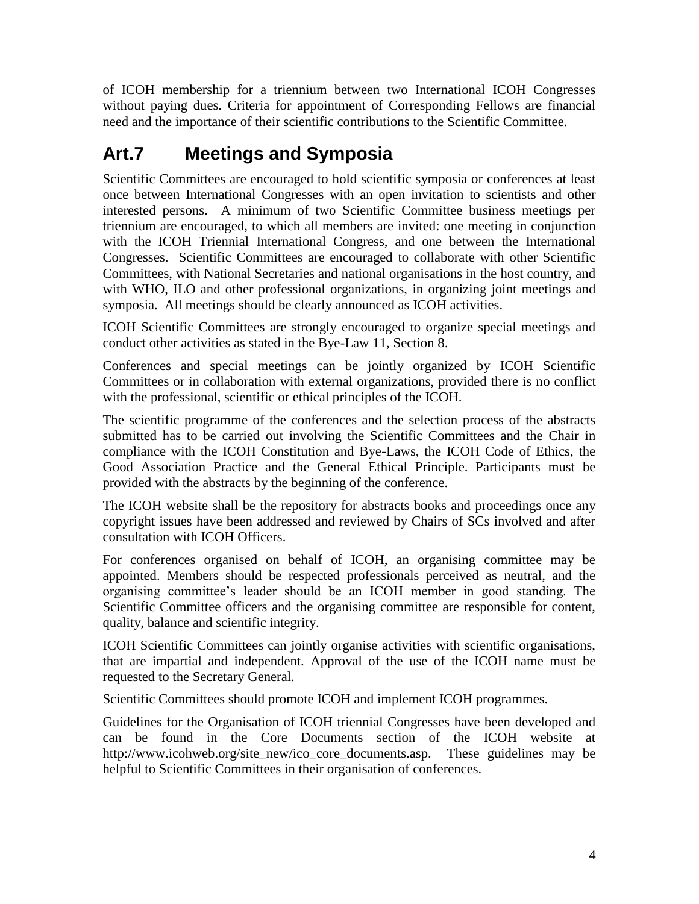of ICOH membership for a triennium between two International ICOH Congresses without paying dues. Criteria for appointment of Corresponding Fellows are financial need and the importance of their scientific contributions to the Scientific Committee.

## **Art.7 Meetings and Symposia**

Scientific Committees are encouraged to hold scientific symposia or conferences at least once between International Congresses with an open invitation to scientists and other interested persons. A minimum of two Scientific Committee business meetings per triennium are encouraged, to which all members are invited: one meeting in conjunction with the ICOH Triennial International Congress, and one between the International Congresses. Scientific Committees are encouraged to collaborate with other Scientific Committees, with National Secretaries and national organisations in the host country, and with WHO, ILO and other professional organizations, in organizing joint meetings and symposia. All meetings should be clearly announced as ICOH activities.

ICOH Scientific Committees are strongly encouraged to organize special meetings and conduct other activities as stated in the Bye-Law 11, Section 8.

Conferences and special meetings can be jointly organized by ICOH Scientific Committees or in collaboration with external organizations, provided there is no conflict with the professional, scientific or ethical principles of the ICOH.

The scientific programme of the conferences and the selection process of the abstracts submitted has to be carried out involving the Scientific Committees and the Chair in compliance with the ICOH Constitution and Bye-Laws, the ICOH Code of Ethics, the Good Association Practice and the General Ethical Principle. Participants must be provided with the abstracts by the beginning of the conference.

The ICOH website shall be the repository for abstracts books and proceedings once any copyright issues have been addressed and reviewed by Chairs of SCs involved and after consultation with ICOH Officers.

For conferences organised on behalf of ICOH, an organising committee may be appointed. Members should be respected professionals perceived as neutral, and the organising committee"s leader should be an ICOH member in good standing. The Scientific Committee officers and the organising committee are responsible for content, quality, balance and scientific integrity.

ICOH Scientific Committees can jointly organise activities with scientific organisations, that are impartial and independent. Approval of the use of the ICOH name must be requested to the Secretary General.

Scientific Committees should promote ICOH and implement ICOH programmes.

Guidelines for the Organisation of ICOH triennial Congresses have been developed and can be found in the Core Documents section of the ICOH website at http://www.icohweb.org/site\_new/ico\_core\_documents.asp. These guidelines may be helpful to Scientific Committees in their organisation of conferences.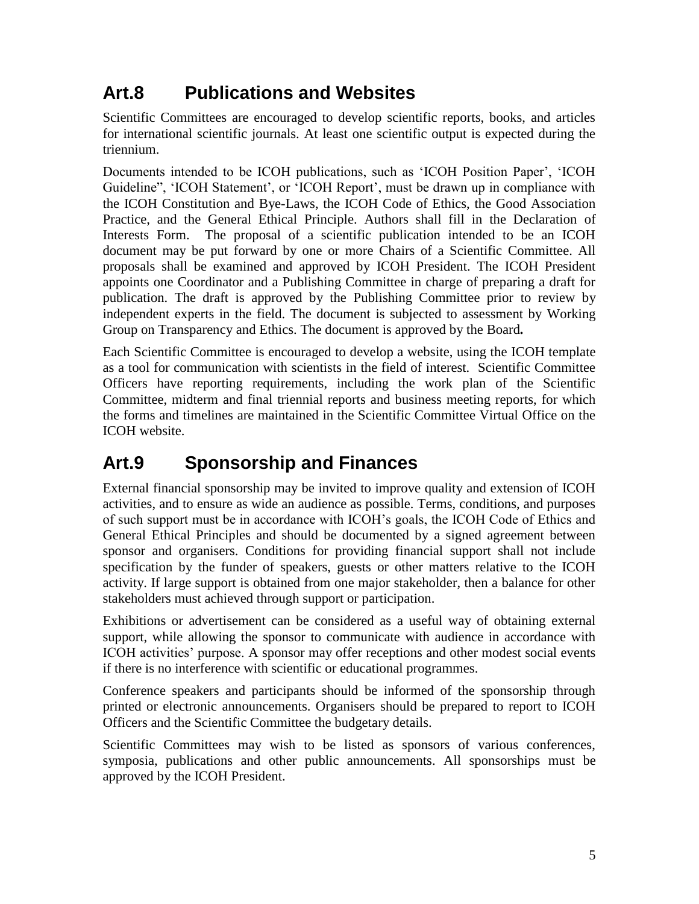## **Art.8 Publications and Websites**

Scientific Committees are encouraged to develop scientific reports, books, and articles for international scientific journals. At least one scientific output is expected during the triennium.

Documents intended to be ICOH publications, such as "ICOH Position Paper", "ICOH Guideline", 'ICOH Statement', or 'ICOH Report', must be drawn up in compliance with the ICOH Constitution and Bye-Laws, the ICOH Code of Ethics, the Good Association Practice, and the General Ethical Principle. Authors shall fill in the Declaration of Interests Form. The proposal of a scientific publication intended to be an ICOH document may be put forward by one or more Chairs of a Scientific Committee. All proposals shall be examined and approved by ICOH President. The ICOH President appoints one Coordinator and a Publishing Committee in charge of preparing a draft for publication. The draft is approved by the Publishing Committee prior to review by independent experts in the field. The document is subjected to assessment by Working Group on Transparency and Ethics. The document is approved by the Board*.*

Each Scientific Committee is encouraged to develop a website, using the ICOH template as a tool for communication with scientists in the field of interest. Scientific Committee Officers have reporting requirements, including the work plan of the Scientific Committee, midterm and final triennial reports and business meeting reports, for which the forms and timelines are maintained in the Scientific Committee Virtual Office on the ICOH website.

## **Art.9 Sponsorship and Finances**

External financial sponsorship may be invited to improve quality and extension of ICOH activities, and to ensure as wide an audience as possible. Terms, conditions, and purposes of such support must be in accordance with ICOH"s goals, the ICOH Code of Ethics and General Ethical Principles and should be documented by a signed agreement between sponsor and organisers. Conditions for providing financial support shall not include specification by the funder of speakers, guests or other matters relative to the ICOH activity. If large support is obtained from one major stakeholder, then a balance for other stakeholders must achieved through support or participation.

Exhibitions or advertisement can be considered as a useful way of obtaining external support, while allowing the sponsor to communicate with audience in accordance with ICOH activities" purpose. A sponsor may offer receptions and other modest social events if there is no interference with scientific or educational programmes.

Conference speakers and participants should be informed of the sponsorship through printed or electronic announcements. Organisers should be prepared to report to ICOH Officers and the Scientific Committee the budgetary details.

Scientific Committees may wish to be listed as sponsors of various conferences, symposia, publications and other public announcements. All sponsorships must be approved by the ICOH President.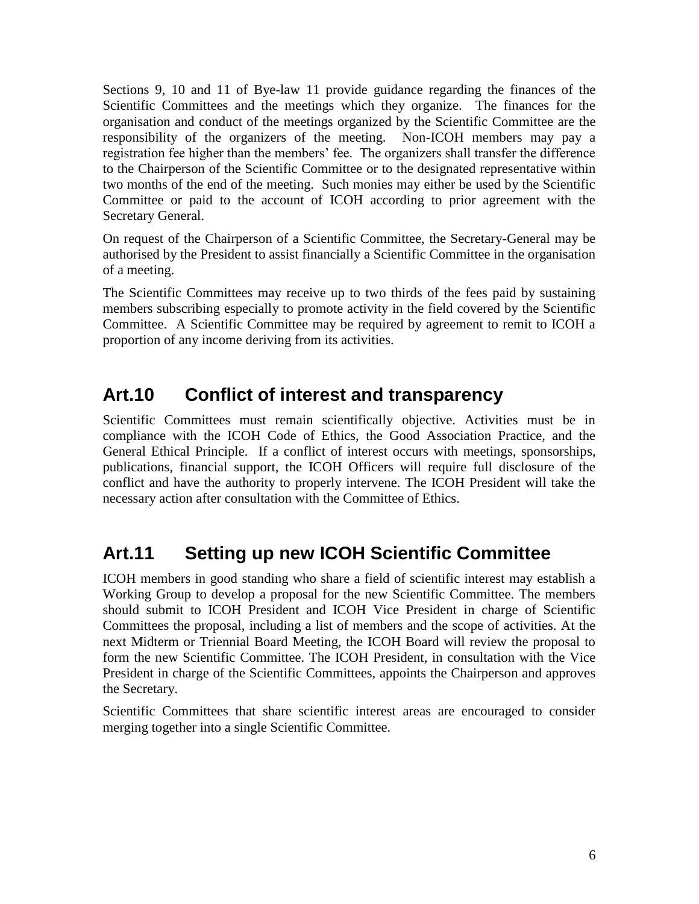Sections 9, 10 and 11 of Bye-law 11 provide guidance regarding the finances of the Scientific Committees and the meetings which they organize. The finances for the organisation and conduct of the meetings organized by the Scientific Committee are the responsibility of the organizers of the meeting. Non-ICOH members may pay a registration fee higher than the members" fee. The organizers shall transfer the difference to the Chairperson of the Scientific Committee or to the designated representative within two months of the end of the meeting. Such monies may either be used by the Scientific Committee or paid to the account of ICOH according to prior agreement with the Secretary General.

On request of the Chairperson of a Scientific Committee, the Secretary-General may be authorised by the President to assist financially a Scientific Committee in the organisation of a meeting.

The Scientific Committees may receive up to two thirds of the fees paid by sustaining members subscribing especially to promote activity in the field covered by the Scientific Committee. A Scientific Committee may be required by agreement to remit to ICOH a proportion of any income deriving from its activities.

## **Art.10 Conflict of interest and transparency**

Scientific Committees must remain scientifically objective. Activities must be in compliance with the ICOH Code of Ethics, the Good Association Practice, and the General Ethical Principle. If a conflict of interest occurs with meetings, sponsorships, publications, financial support, the ICOH Officers will require full disclosure of the conflict and have the authority to properly intervene. The ICOH President will take the necessary action after consultation with the Committee of Ethics.

## **Art.11 Setting up new ICOH Scientific Committee**

ICOH members in good standing who share a field of scientific interest may establish a Working Group to develop a proposal for the new Scientific Committee. The members should submit to ICOH President and ICOH Vice President in charge of Scientific Committees the proposal, including a list of members and the scope of activities. At the next Midterm or Triennial Board Meeting, the ICOH Board will review the proposal to form the new Scientific Committee. The ICOH President, in consultation with the Vice President in charge of the Scientific Committees, appoints the Chairperson and approves the Secretary.

Scientific Committees that share scientific interest areas are encouraged to consider merging together into a single Scientific Committee.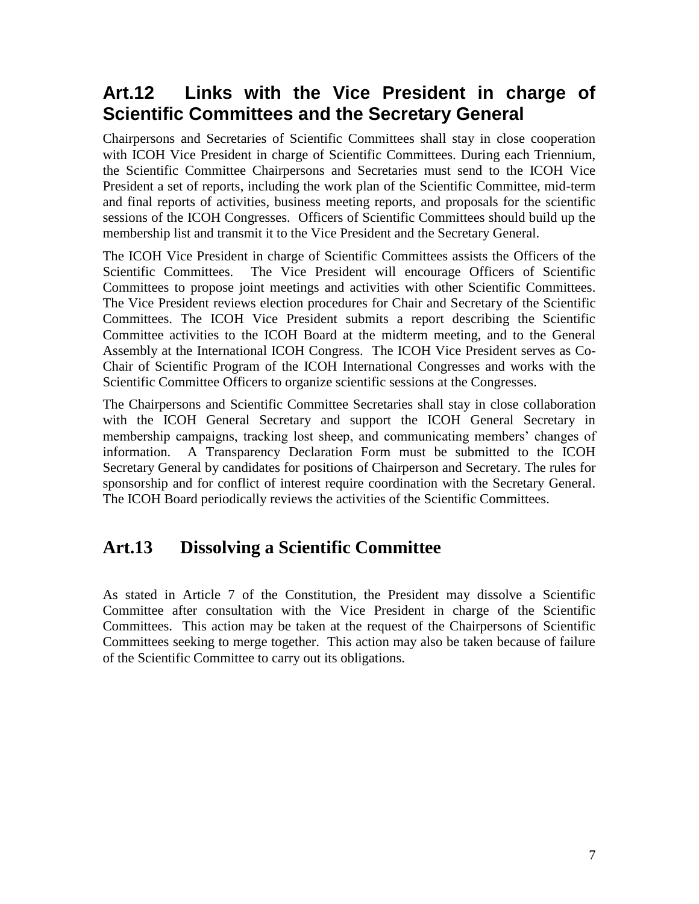## **Art.12 Links with the Vice President in charge of Scientific Committees and the Secretary General**

Chairpersons and Secretaries of Scientific Committees shall stay in close cooperation with ICOH Vice President in charge of Scientific Committees. During each Triennium, the Scientific Committee Chairpersons and Secretaries must send to the ICOH Vice President a set of reports, including the work plan of the Scientific Committee, mid-term and final reports of activities, business meeting reports, and proposals for the scientific sessions of the ICOH Congresses. Officers of Scientific Committees should build up the membership list and transmit it to the Vice President and the Secretary General.

The ICOH Vice President in charge of Scientific Committees assists the Officers of the Scientific Committees. The Vice President will encourage Officers of Scientific Committees to propose joint meetings and activities with other Scientific Committees. The Vice President reviews election procedures for Chair and Secretary of the Scientific Committees. The ICOH Vice President submits a report describing the Scientific Committee activities to the ICOH Board at the midterm meeting, and to the General Assembly at the International ICOH Congress. The ICOH Vice President serves as Co-Chair of Scientific Program of the ICOH International Congresses and works with the Scientific Committee Officers to organize scientific sessions at the Congresses.

The Chairpersons and Scientific Committee Secretaries shall stay in close collaboration with the ICOH General Secretary and support the ICOH General Secretary in membership campaigns, tracking lost sheep, and communicating members" changes of information. A Transparency Declaration Form must be submitted to the ICOH Secretary General by candidates for positions of Chairperson and Secretary. The rules for sponsorship and for conflict of interest require coordination with the Secretary General. The ICOH Board periodically reviews the activities of the Scientific Committees.

### **Art.13 Dissolving a Scientific Committee**

As stated in Article 7 of the Constitution, the President may dissolve a Scientific Committee after consultation with the Vice President in charge of the Scientific Committees. This action may be taken at the request of the Chairpersons of Scientific Committees seeking to merge together. This action may also be taken because of failure of the Scientific Committee to carry out its obligations.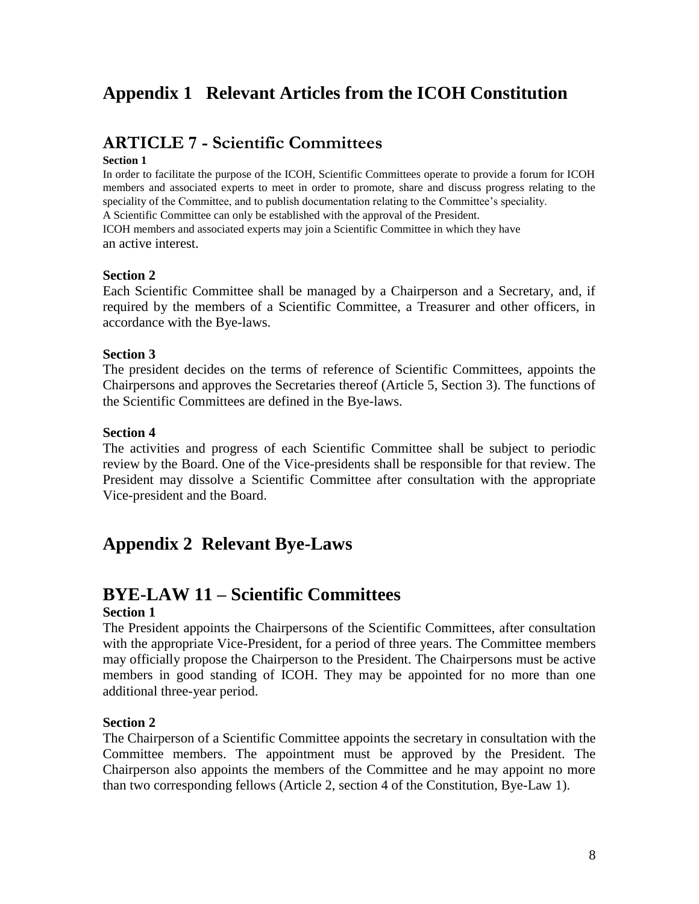### **Appendix 1 Relevant Articles from the ICOH Constitution**

### **ARTICLE 7 - Scientific Committees**

#### **Section 1**

In order to facilitate the purpose of the ICOH, Scientific Committees operate to provide a forum for ICOH members and associated experts to meet in order to promote, share and discuss progress relating to the speciality of the Committee, and to publish documentation relating to the Committee's speciality. A Scientific Committee can only be established with the approval of the President. ICOH members and associated experts may join a Scientific Committee in which they have an active interest.

#### **Section 2**

Each Scientific Committee shall be managed by a Chairperson and a Secretary, and, if required by the members of a Scientific Committee, a Treasurer and other officers, in accordance with the Bye-laws.

### **Section 3**

The president decides on the terms of reference of Scientific Committees, appoints the Chairpersons and approves the Secretaries thereof (Article 5, Section 3). The functions of the Scientific Committees are defined in the Bye-laws.

### **Section 4**

The activities and progress of each Scientific Committee shall be subject to periodic review by the Board. One of the Vice-presidents shall be responsible for that review. The President may dissolve a Scientific Committee after consultation with the appropriate Vice-president and the Board.

### **Appendix 2 Relevant Bye-Laws**

### **BYE-LAW 11 – Scientific Committees**

#### **Section 1**

The President appoints the Chairpersons of the Scientific Committees, after consultation with the appropriate Vice-President, for a period of three years. The Committee members may officially propose the Chairperson to the President. The Chairpersons must be active members in good standing of ICOH. They may be appointed for no more than one additional three-year period.

#### **Section 2**

The Chairperson of a Scientific Committee appoints the secretary in consultation with the Committee members. The appointment must be approved by the President. The Chairperson also appoints the members of the Committee and he may appoint no more than two corresponding fellows (Article 2, section 4 of the Constitution, Bye-Law 1).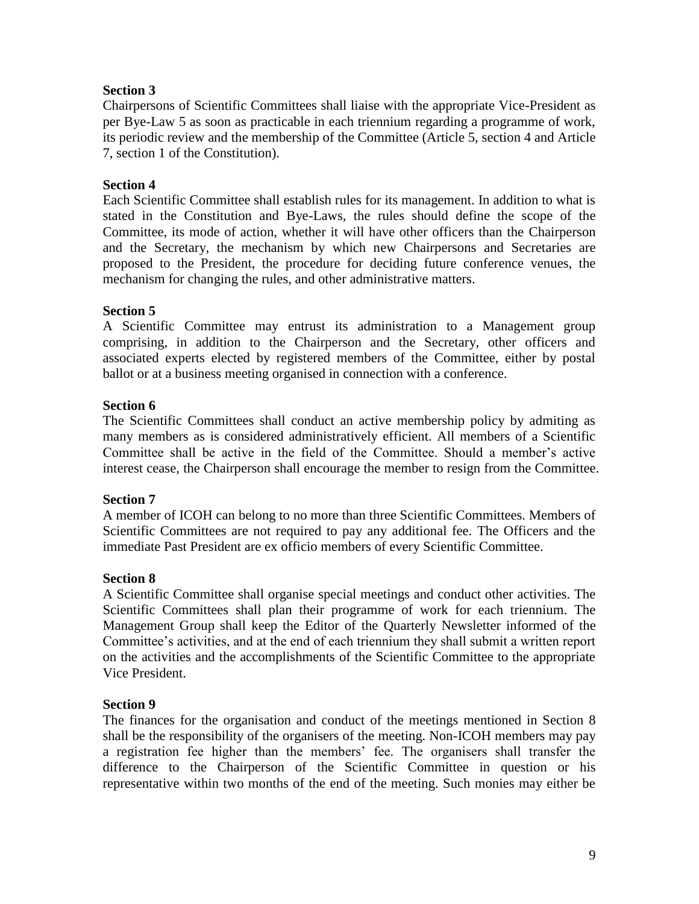### **Section 3**

Chairpersons of Scientific Committees shall liaise with the appropriate Vice-President as per Bye-Law 5 as soon as practicable in each triennium regarding a programme of work, its periodic review and the membership of the Committee (Article 5, section 4 and Article 7, section 1 of the Constitution).

### **Section 4**

Each Scientific Committee shall establish rules for its management. In addition to what is stated in the Constitution and Bye-Laws, the rules should define the scope of the Committee, its mode of action, whether it will have other officers than the Chairperson and the Secretary, the mechanism by which new Chairpersons and Secretaries are proposed to the President, the procedure for deciding future conference venues, the mechanism for changing the rules, and other administrative matters.

### **Section 5**

A Scientific Committee may entrust its administration to a Management group comprising, in addition to the Chairperson and the Secretary, other officers and associated experts elected by registered members of the Committee, either by postal ballot or at a business meeting organised in connection with a conference.

### **Section 6**

The Scientific Committees shall conduct an active membership policy by admiting as many members as is considered administratively efficient. All members of a Scientific Committee shall be active in the field of the Committee. Should a member"s active interest cease, the Chairperson shall encourage the member to resign from the Committee.

#### **Section 7**

A member of ICOH can belong to no more than three Scientific Committees. Members of Scientific Committees are not required to pay any additional fee. The Officers and the immediate Past President are ex officio members of every Scientific Committee.

#### **Section 8**

A Scientific Committee shall organise special meetings and conduct other activities. The Scientific Committees shall plan their programme of work for each triennium. The Management Group shall keep the Editor of the Quarterly Newsletter informed of the Committee"s activities, and at the end of each triennium they shall submit a written report on the activities and the accomplishments of the Scientific Committee to the appropriate Vice President.

#### **Section 9**

The finances for the organisation and conduct of the meetings mentioned in Section 8 shall be the responsibility of the organisers of the meeting. Non-ICOH members may pay a registration fee higher than the members' fee. The organisers shall transfer the difference to the Chairperson of the Scientific Committee in question or his representative within two months of the end of the meeting. Such monies may either be